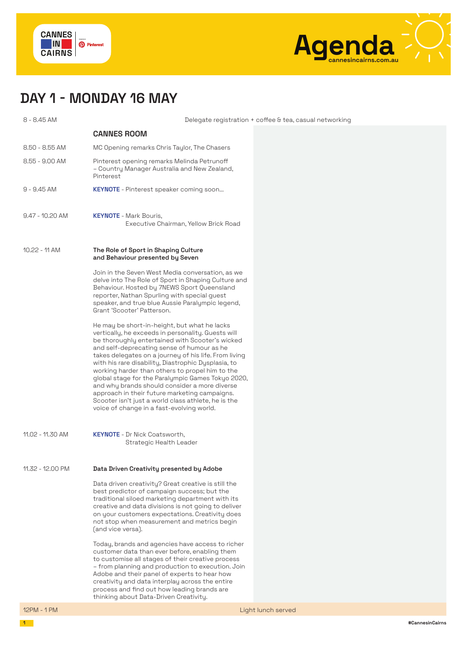



## **DAY 1 - MONDAY 16 MAY**

8 - 8.45 AM Delegate registration + coffee & tea, casual networking **CANNES ROOM**  8.50 - 8.55 AM MC Opening remarks Chris Taylor, The Chasers 8.55 - 9.00 AM Pinterest opening remarks Melinda Petrunoff – Country Manager Australia and New Zealand, Pinterest 9 - 9.45 AM **KEYNOTE** - Pinterest speaker coming soon... 9.47 - 10.20 AM **KEYNOTE** - Mark Bouris, Executive Chairman, Yellow Brick Road 10.22 - 11 AM **The Role of Sport in Shaping Culture and Behaviour presented by Seven**  Join in the Seven West Media conversation, as we delve into The Role of Sport in Shaping Culture and Behaviour. Hosted by 7NEWS Sport Queensland reporter, Nathan Spurling with special guest speaker, and true blue Aussie Paralympic legend, Grant 'Scooter' Patterson. He may be short-in-height, but what he lacks vertically, he exceeds in personality. Guests will be thoroughly entertained with Scooter's wicked and self-deprecating sense of humour as he takes delegates on a journey of his life. From living with his rare disability, Diastrophic Dysplasia, to working harder than others to propel him to the global stage for the Paralympic Games Tokyo 2020, and why brands should consider a more diverse approach in their future marketing campaigns. Scooter isn't just a world class athlete, he is the voice of change in a fast-evolving world. 11.02 - 11.30 AM **KEYNOTE** - Dr Nick Coatsworth, Strategic Health Leader 11.32 - 12.00 PM **Data Driven Creativity presented by Adobe** Data driven creativity? Great creative is still the best predictor of campaign success; but the traditional siloed marketing department with its creative and data divisions is not going to deliver on your customers expectations. Creativity does not stop when measurement and metrics begin (and vice versa). Today, brands and agencies have access to richer customer data than ever before, enabling them to customise all stages of their creative process – from planning and production to execution. Join Adobe and their panel of experts to hear how creativity and data interplay across the entire process and find out how leading brands are thinking about Data-Driven Creativity.

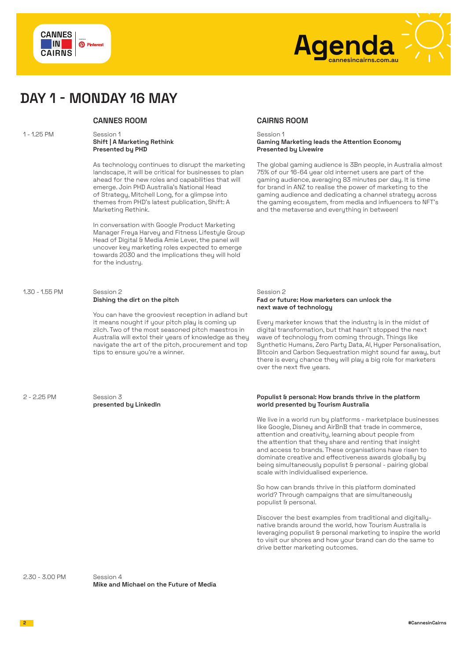



### **DAY 1 - MONDAY 16 MAY**

#### 1 - 1.25 PM Session 1 **Shift | A Marketing Rethink Presented by PHD**

As technology continues to disrupt the marketing landscape, it will be critical for businesses to plan ahead for the new roles and capabilities that will emerge. Join PHD Australia's National Head of Strategy, Mitchell Long, for a glimpse into themes from PHD's latest publication, Shift: A Marketing Rethink.

In conversation with Google Product Marketing Manager Freya Harvey and Fitness Lifestyle Group Head of Digital & Media Amie Lever, the panel will uncover key marketing roles expected to emerge towards 2030 and the implications they will hold for the industry.

### 1.30 - 1.55 PM Session 2 **Dishing the dirt on the pitch**

You can have the grooviest reception in adland but it means nought if your pitch play is coming up zilch. Two of the most seasoned pitch maestros in Australia will extol their years of knowledge as they navigate the art of the pitch, procurement and top tips to ensure you're a winner.

2 - 2.25 PM Session 3

**presented by LinkedIn**

### **CANNES ROOM CAIRNS ROOM**

#### Session 1 **Gaming Marketing leads the Attention Economy Presented by Livewire**

The global gaming audience is 3Bn people, in Australia almost 75% of our 16-64 year old internet users are part of the gaming audience, averaging 83 minutes per day. It is time for brand in ANZ to realise the power of marketing to the gaming audience and dedicating a channel strategy across the gaming ecosystem, from media and influencers to NFT's and the metaverse and everything in between!

#### Session 2 **Fad or future: How marketers can unlock the next wave of technology**

Every marketer knows that the industry is in the midst of digital transformation, but that hasn't stopped the next wave of technology from coming through. Things like Synthetic Humans, Zero Party Data, AI, Hyper Personalisation, Bitcoin and Carbon Sequestration might sound far away, but there is every chance they will play a big role for marketers over the next five years.

#### **Populist & personal: How brands thrive in the platform world presented by Tourism Australia**

We live in a world run by platforms - marketplace businesses like Google, Disney and AirBnB that trade in commerce, attention and creativity, learning about people from the attention that they share and renting that insight and access to brands. These organisations have risen to dominate creative and effectiveness awards globally by being simultaneously populist & personal - pairing global scale with individualised experience.

So how can brands thrive in this platform dominated world? Through campaigns that are simultaneously populist & personal.

Discover the best examples from traditional and digitallynative brands around the world, how Tourism Australia is leveraging populist & personal marketing to inspire the world to visit our shores and how your brand can do the same to drive better marketing outcomes.

2.30 - 3.00 PM Session 4

**Mike and Michael on the Future of Media**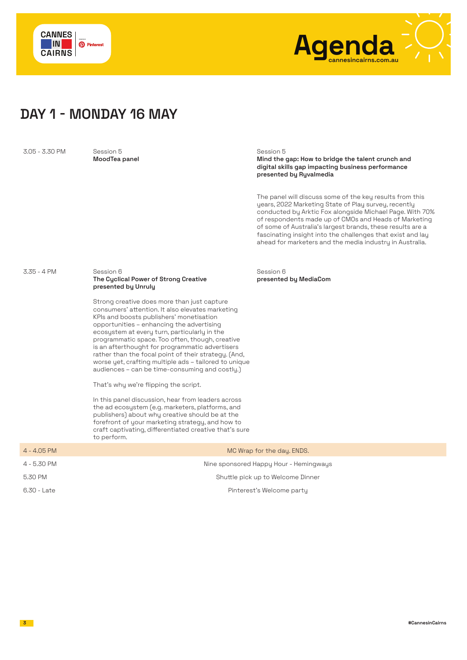



### **DAY 1 - MONDAY 16 MAY**

3.05 - 3.30 PM Session 5

**MoodTea panel**

Session 5

**Mind the gap: How to bridge the talent crunch and digital skills gap impacting business performance presented by Ryvalmedia** 

The panel will discuss some of the key results from this years, 2022 Marketing State of Play survey, recently conducted by Arktic Fox alongside Michael Page. With 70% of respondents made up of CMOs and Heads of Marketing of some of Australia's largest brands, these results are a fascinating insight into the challenges that exist and lay ahead for marketers and the media industry in Australia.

### 3.35 - 4 PM Session 6 **The Cyclical Power of Strong Creative presented by Unruly**

Strong creative does more than just capture consumers' attention. It also elevates marketing KPIs and boosts publishers' monetisation opportunities – enhancing the advertising ecosystem at every turn, particularly in the programmatic space. Too often, though, creative is an afterthought for programmatic advertisers rather than the focal point of their strategy. (And, worse yet, crafting multiple ads – tailored to unique audiences – can be time-consuming and costly.)

That's why we're flipping the script.

In this panel discussion, hear from leaders across the ad ecosystem (e.g. marketers, platforms, and publishers) about why creative should be at the forefront of your marketing strategy, and how to craft captivating, differentiated creative that's sure to perform.

Session 6 **presented by MediaCom**

|               | to perform.                            |
|---------------|----------------------------------------|
| $4 - 4.05$ PM | MC Wrap for the day. ENDS.             |
| 4 - 5.30 PM   | Nine sponsored Happy Hour - Hemingways |
| 5.30 PM       | Shuttle pick up to Welcome Dinner      |
| 6.30 - Late   | Pinterest's Welcome party              |
|               |                                        |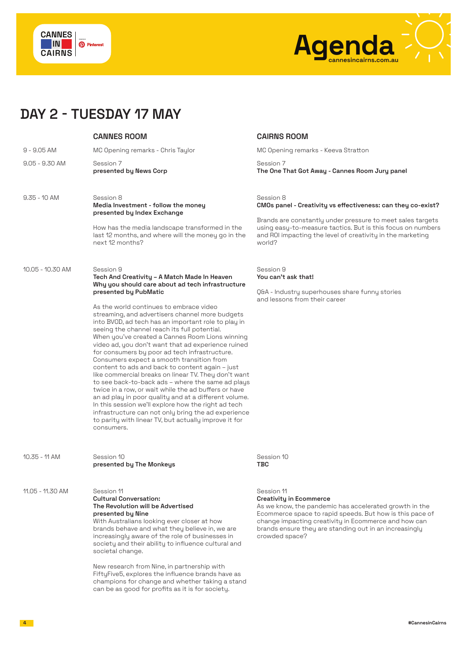



# **DAY 2 - TUESDAY 17 MAY**

|                  | <b>CANNES ROOM</b>                                                                                                                                                                                                                                                                                                                                                                                                                                                                                                                                                                                                                                                                                                                                                                                                                                                                                                                                                                                                       | <b>CAIRNS ROOM</b>                                                                                                                                                                                                                                                                                     |
|------------------|--------------------------------------------------------------------------------------------------------------------------------------------------------------------------------------------------------------------------------------------------------------------------------------------------------------------------------------------------------------------------------------------------------------------------------------------------------------------------------------------------------------------------------------------------------------------------------------------------------------------------------------------------------------------------------------------------------------------------------------------------------------------------------------------------------------------------------------------------------------------------------------------------------------------------------------------------------------------------------------------------------------------------|--------------------------------------------------------------------------------------------------------------------------------------------------------------------------------------------------------------------------------------------------------------------------------------------------------|
| $9 - 9.05$ AM    | MC Opening remarks - Chris Taylor                                                                                                                                                                                                                                                                                                                                                                                                                                                                                                                                                                                                                                                                                                                                                                                                                                                                                                                                                                                        | MC Opening remarks - Keeva Stratton                                                                                                                                                                                                                                                                    |
| $9.05 - 9.30$ AM | Session 7<br>presented by News Corp                                                                                                                                                                                                                                                                                                                                                                                                                                                                                                                                                                                                                                                                                                                                                                                                                                                                                                                                                                                      | Session 7<br>The One That Got Away - Cannes Room Jury panel                                                                                                                                                                                                                                            |
| $9.35 - 10$ AM   | Session 8<br>Media Investment - follow the money<br>presented by Index Exchange<br>How has the media landscape transformed in the<br>last 12 months, and where will the money go in the<br>next 12 months?                                                                                                                                                                                                                                                                                                                                                                                                                                                                                                                                                                                                                                                                                                                                                                                                               | Session 8<br>CMOs panel - Creativity vs effectiveness: can they co-exist?<br>Brands are constantly under pressure to meet sales targets<br>using easy-to-measure tactics. But is this focus on numbers<br>and R0I impacting the level of creativity in the marketing<br>world?                         |
| 10.05 - 10.30 AM | Session 9<br>Tech And Creativity - A Match Made In Heaven<br>Why you should care about ad tech infrastructure<br>presented by PubMatic<br>As the world continues to embrace video<br>streaming, and advertisers channel more budgets<br>into BVOD, ad tech has an important role to play in<br>seeing the channel reach its full potential.<br>When you've created a Cannes Room Lions winning<br>video ad, you don't want that ad experience ruined<br>for consumers by poor ad tech infrastructure.<br>Consumers expect a smooth transition from<br>content to ads and back to content again - just<br>like commercial breaks on linear TV. They don't want<br>to see back-to-back ads - where the same ad plays<br>twice in a row, or wait while the ad buffers or have<br>an ad play in poor quality and at a different volume.<br>In this session we'll explore how the right ad tech<br>infrastructure can not only bring the ad experience<br>to parity with linear TV, but actually improve it for<br>consumers. | Session 9<br>You can't ask that!<br>Q&A - Industry superhouses share funny stories<br>and lessons from their career                                                                                                                                                                                    |
| 10.35 - 11 AM    | Session 10<br>presented by The Monkeys                                                                                                                                                                                                                                                                                                                                                                                                                                                                                                                                                                                                                                                                                                                                                                                                                                                                                                                                                                                   | Session 10<br>TBC                                                                                                                                                                                                                                                                                      |
| 11.05 - 11.30 AM | Session 11<br><b>Cultural Conversation:</b><br>The Revolution will be Advertised<br>presented by Nine<br>With Australians looking ever closer at how<br>brands behave and what they believe in, we are<br>increasingly aware of the role of businesses in<br>society and their ability to influence cultural and<br>societal change.<br>New research from Nine, in partnership with                                                                                                                                                                                                                                                                                                                                                                                                                                                                                                                                                                                                                                      | Session 11<br><b>Creativity in Ecommerce</b><br>As we know, the pandemic has accelerated growth in the<br>Ecommerce space to rapid speeds. But how is this pace of<br>change impacting creativity in Ecommerce and how can<br>brands ensure they are standing out in an increasingly<br>crowded space? |

FiftyFive5, explores the influence brands have as champions for change and whether taking a stand can be as good for profits as it is for society.